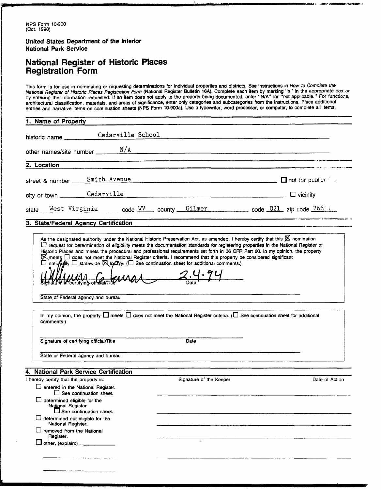**United States Department of the Interior National Park Service** 

### **National Register of Historic Places Registration Form**

This form is for use in nominating or requesting determinations for individual properties and districts. See instructions in How to Complete the National Register of Historic Places Registration Form (National Register Bulletin 16A). Complete each item by marking "x" in the appropriate box or<br>by entering the information requested. If an item does not apply to the p architectural classification, materials, and areas of significance, enter only categories and subcategories from the instructions. Place additional<br>entries and narrative items on continuation sheets (NPS Form 10-900a). Use

**Britannia** 

| historic name ___________ Cedarville School                                                                            |                  |                         |                                                                                                                                                       |
|------------------------------------------------------------------------------------------------------------------------|------------------|-------------------------|-------------------------------------------------------------------------------------------------------------------------------------------------------|
| other names/site number $N/A$ $N/A$                                                                                    |                  |                         |                                                                                                                                                       |
| 2. Location                                                                                                            |                  |                         |                                                                                                                                                       |
|                                                                                                                        |                  |                         |                                                                                                                                                       |
| street & number _____ Smith Avenue                                                                                     |                  |                         |                                                                                                                                                       |
| city or town Cedarville Cedarville                                                                                     |                  |                         |                                                                                                                                                       |
|                                                                                                                        |                  |                         | state West Virginia code WV county Gilmer code 021 zip code 26611                                                                                     |
| 3. State/Federal Agency Certification                                                                                  |                  |                         |                                                                                                                                                       |
| State of Federal agency and bureau                                                                                     | $M_{max}$ 2.4.94 |                         |                                                                                                                                                       |
| comments.)                                                                                                             |                  |                         | In my opinion, the property $\square$ meets $\square$ does not meet the National Register criteria. ( $\square$ See continuation sheet for additional |
| Signature of certifying official/Title                                                                                 |                  | Date                    |                                                                                                                                                       |
| State or Federal agency and bureau                                                                                     |                  |                         |                                                                                                                                                       |
|                                                                                                                        |                  |                         |                                                                                                                                                       |
|                                                                                                                        |                  | Signature of the Keeper | Date of Action                                                                                                                                        |
| □ entered in the National Register.<br>$\Box$ See continuation sheet.                                                  |                  |                         |                                                                                                                                                       |
| National Register<br>$\Box$ See continuation sheet.                                                                    |                  |                         |                                                                                                                                                       |
| $\Box$ determined not eligible for the                                                                                 |                  |                         |                                                                                                                                                       |
| National Register.<br>$\Box$ removed from the National<br>Register.                                                    |                  |                         |                                                                                                                                                       |
| 4. National Park Service Certification<br>I hereby certify that the property is:<br>other, (explain:) ________________ |                  | $\sim$                  |                                                                                                                                                       |
|                                                                                                                        |                  |                         |                                                                                                                                                       |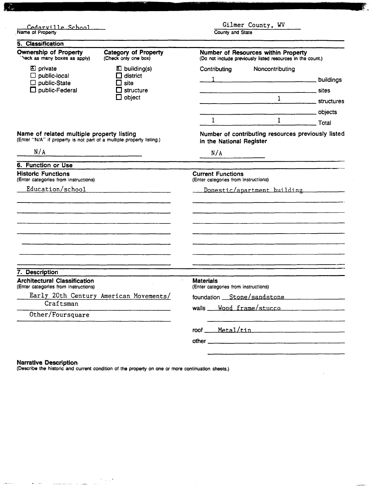| Cedarville School<br>Name of Property                                                                                              |                                                                                             | Gilmer County, WV<br>County and State                                                             |                                                                 |                                |
|------------------------------------------------------------------------------------------------------------------------------------|---------------------------------------------------------------------------------------------|---------------------------------------------------------------------------------------------------|-----------------------------------------------------------------|--------------------------------|
| 5. Classification                                                                                                                  |                                                                                             |                                                                                                   |                                                                 |                                |
| <b>Ownership of Property</b><br>heck as many boxes as apply)                                                                       | <b>Category of Property</b><br>(Check only one box)                                         | Number of Resources within Property<br>(Do not include previously listed resources in the count.) |                                                                 |                                |
| ⊠<br>private<br>public-local<br>public-State<br>public-Federal                                                                     | $\Sigma$ building(s)<br>$\Box$ district<br>$\Box$ site<br>$\Box$ structure<br>$\Box$ object | Contributing<br>$\mathbf{1}$                                                                      | Noncontributing<br>$\frac{1}{2}$ buildings<br>$\mathbf{1}$<br>1 | sites<br>structures<br>objects |
| Name of related multiple property listing<br>(Enter "N/A" if property is not part of a multiple property listing.)                 |                                                                                             | Total<br>Number of contributing resources previously listed<br>in the National Register           |                                                                 |                                |
| N/A                                                                                                                                |                                                                                             | N/A                                                                                               |                                                                 |                                |
| 6. Function or Use                                                                                                                 |                                                                                             |                                                                                                   |                                                                 |                                |
| <b>Historic Functions</b><br>(Enter categories from instructions)                                                                  |                                                                                             | <b>Current Functions</b><br>(Enter categories from instructions)                                  |                                                                 |                                |
| Education/school                                                                                                                   |                                                                                             |                                                                                                   | Domestic/apartment building                                     |                                |
|                                                                                                                                    |                                                                                             |                                                                                                   |                                                                 |                                |
| 7. Description                                                                                                                     |                                                                                             |                                                                                                   |                                                                 |                                |
| <b>Architectural Classification</b><br>(Enter categories from instructions)<br>Early 20th Century American Movements/<br>Craftsman |                                                                                             | <b>Materials</b><br>(Enter categories from instructions)                                          |                                                                 |                                |
|                                                                                                                                    |                                                                                             | foundation Stone/sandstone<br>walls Wood frame/stucco                                             |                                                                 |                                |
| Other/Foursquare                                                                                                                   |                                                                                             |                                                                                                   |                                                                 |                                |
|                                                                                                                                    |                                                                                             |                                                                                                   | roof Metal/tin                                                  |                                |
|                                                                                                                                    |                                                                                             |                                                                                                   |                                                                 |                                |

Ķ.

### Narrative Description

 $\zeta = \zeta_0$ 

والأنادية المتناء

 $\label{eq:2} \begin{split} \mathcal{F}_{\text{in}}^{\text{in}}(\mathcal{C}_{\text{in}}^{\text{in}}(\mathcal{C}_{\text{in}}^{\text{out}}))\otimes\mathcal{F}_{\text{out}}^{\text{out}}(\mathcal{C}_{\text{in}}^{\text{out}}(\mathcal{C}_{\text{out}}^{\text{out}}))\otimes\mathcal{F}_{\text{out}}^{\text{out}}(\mathcal{C}_{\text{out}}^{\text{out}}(\mathcal{C}_{\text{out}}^{\text{out}}))\otimes\mathcal{F}_{\text{out}}^{\text{out}}(\mathcal{C}_{\text{out}}^{\text{out}}(\mathcal{C}_{\text{$ 

(Describe the historic and current condition of the property on one or more continuation sheets.)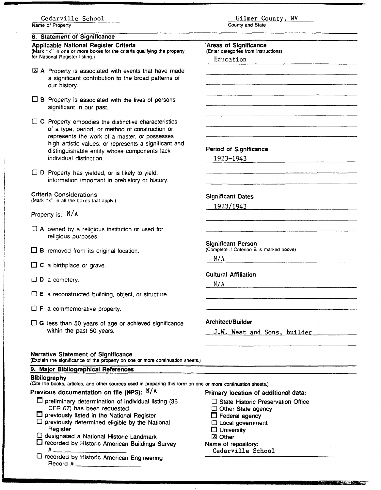### Cedarville School

**Name of Property** 

### 8. Statement of Significance

Applicable National Register Criteria **(Mark "x" in one or more boxes for the criteria qualifying the property for National Register listing.)** 

### @ A Property is associated with events that have made a significant contribution to the broad patterns of our history.

- $\Box$  B Property is associated with the lives of persons significant in our past.
- $\Box$  C Property embodies the distinctive characteristics of a type, period, or method of construction or represents the work of a master, or possesses high artistic values, or represents a significant and distinguishable entity whose components lack individual distinction.

 $\Box$  D Property has yielded, or is likely to yield, information important in prehistory or history.

#### Criteria Considerations

**(Mark "x" in all the boxes that apply.)** 

- Property is: **N/A**
- $\Box$  A owned by a religious institution or used for religious purposes.
- $\Box$  B removed from its original location.
- $\Box$  C a birthplace or grave.
- $\square$  **D** a cemetery.
- $\Box$  E a reconstructed building, object, or structure.
- $\Box$  **F** a commemorative property.
- $\Box$  G less than 50 years of age or achieved significance within the past 50 years.

#### Narrative Statement of Significance

**(Explain the significance of the on one or more continuation sheets.)** 

### 9. Major Bibliographical References

### Bibilography

| Previous documentation on file (NPS): $\,$ $\rm N/A$       | Primary location of additional data: |
|------------------------------------------------------------|--------------------------------------|
| $\Box$ preliminary determination of individual listing (36 | State Historic Preservation Office   |
| CFR 67) has been requested                                 | Other State agency                   |
| $\Box$ previously listed in the National Register          | $\Box$ Federal agency                |
| $\Box$ previously determined eligible by the National      | □ Local government                   |
| Register                                                   | $\Box$ University                    |
| C designated a National Historic Landmark                  | ⊠ Other                              |
| □ recorded by Historic American Buildings Survey           | Name of repository:                  |
| #                                                          | Cedarville School                    |
| □ recorded by Historic American Engineering                |                                      |
|                                                            |                                      |

Gilmer County, WV

**County and State** 

'Areas of Significance **(Enter categories from instructions)** 

Period of Significance 1923-1943

Significant Dates 192311943

Significant Person

Cultural Affiliation

Architect/Builder

**N/ A** 

 $N/A$ 

**(Complete** if **Criterion** B **is marked above)** 

J.W. West and Sons, builder

**THE REPORT OF PROPERTY** 

Education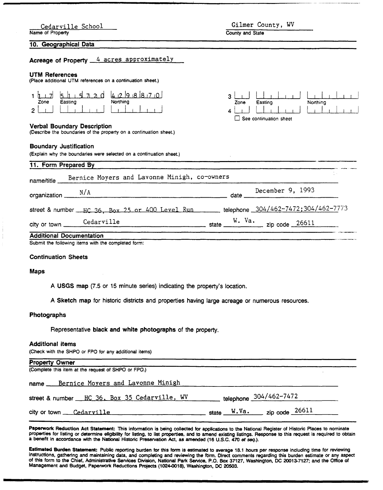| Cedarville School<br>Name of Property                                                                    | Gilmer County, WV<br>County and State                      |
|----------------------------------------------------------------------------------------------------------|------------------------------------------------------------|
| 10. Geographical Data                                                                                    |                                                            |
| Acreage of Property 4 acres approximately                                                                |                                                            |
| UTM References<br>(Place additional UTM references on a continuation sheet.)                             |                                                            |
| 51157206298870<br>1 h<br>Northing<br>Zone<br>Easting<br>2                                                | 3<br>Easting<br>Northing<br>Zone<br>See continuation sheet |
| <b>Verbal Boundary Description</b><br>(Describe the boundaries of the property on a continuation sheet.) |                                                            |
| <b>Boundary Justification</b><br>(Explain why the boundaries were selected on a continuation sheet.)     |                                                            |
| 11. Form Prepared By                                                                                     |                                                            |
| Bernice Moyers and Lavonne Minigh, co-owners<br>name/title                                               |                                                            |
| organization $\underline{\qquad \qquad }$ N/A                                                            | December 9, 1993                                           |
| street & number __HC 36, Box 25 or 400 Level Run ______ telephone 304/462-7472;304/462-7773              |                                                            |
| Cedarville<br>city or town _<br>$\frac{1}{2}$ state $\frac{1}{2}$                                        | W. Va.                                                     |
| <b>Additional Documentation</b>                                                                          |                                                            |
| Submit the following items with the completed form:                                                      |                                                            |

#### Continuation Sheets

#### Maps

A USGS map (7.5 or 15 minute series) indicating the property's location.

A Sketch map for historic districts and properties having large acreage or numerous resources.

### Photographs

Representative black and white photographs of the property.

### Additional items

(Check with the SHPO or FPO for any additional items)

| <b>Property Owner</b>                                               |                                |  |
|---------------------------------------------------------------------|--------------------------------|--|
| (Complete this item at the request of SHPO or FPO.)                 |                                |  |
| name Bernice Moyers and Lavonne Minigh                              |                                |  |
| street & number HC 36, Box 35 Cedarville, WV telephone 304/462-7472 |                                |  |
| city or town <u>Cedarville</u>                                      | state $W.Va.$ zip code $26611$ |  |

Paperwork Reduction Act Statement: This information is being collected for applications to the National Register of Historic Places to nominate properties for listing or determine eligibility for listing, to list properties, and to amend existing listings. Response to this request is required to obtain a benefit in accordance with the National Historic **Preservation** Act, as amended **(16** U.S.C. 470 **er seq.).** 

**Estimated** Burden **Statement:** Public reporting burden for this form is estimated to average **18.1** hours per response including time for reviewing instructions, gathering and maintaining data, and completing and reviewing the form. Direct comments regarding this burden estimate or any aspect of this form to the Chief, Administrative Services Division, National Park Service, P.O. Box **37127,** Washington, DC **20013-7127; and** the Office of Management **and** Budget, Papemork Reductions **Projects (1024-0018),** Washington, **DC 20503.**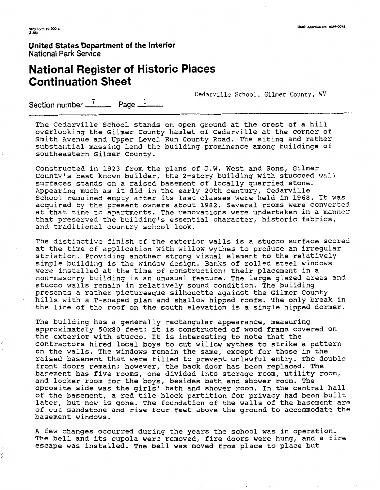**United States Department of the Interior**  National Park **Sewice** 

## **National Register of Historic Places Continuation Sheet**

Cedarville School, Gilmer County, **WV** 

Section number  $\frac{7}{2}$  Page  $\frac{1}{2}$ 

The Cedarville School stands on open ground at the crest of a hill overlooking the Gilmer County hamlet of Cedarville at the corner of Smith Avenue and Upper Level Run County Road. The siting and rather substantial massing lend the building prominence among buildings of southeastern Gilmer County.

Constructed in 1923 from the plans of J.W. West and Sons, Gilmer County's best known builder, the 2-story building with stuccoed wall surfaces stands on a raised basement of locally quarried stone. Appearing much as it did in the early 20th century, Cedarville School remained empty after its last classes were held in 1968. It was acquired by the present owners about 1982. Several rooms were converted at that time to apartments. The renovations were undertaken in a manner that preserved the building's essential character, historic fabrics, and traditional country school look.

The distinctive finish of the exterior walls is a stucco surface scored at the time of application with willow wythes to produce an irregular striation. Providing another strong visual element to the relatively simple building is the window design. Banks of rolled steel windows were installed at the time of construction; their placement in a non-masonry building is an unusual feature. The large glazed areas and stucco walls remain in relatively sound condition. The building presents a rather picturesque silhouette against the Gilmer County hills with a T-shaped plan and shallow hipped roofs. The only break in the line of the roof on the south elevation is a single hipped dormer.

The building has a generally rectangular appearance, measuring approximately 50x80 feet; it is constructed of wood frame covered on the exterior with stucco. It is interesting to note that the contractors hired local boys to cut willow wythes to strike a pattern on the walls. The windows remain the same, except for those in the raised basement that were filled to prevent unlawful entry. The double front doors remain; however, the back door has been replaced. The basement has five rooms, one divided into storage room, utility room, and locker room for the boys, besides bath and shower room. The opposite side was the girls' bath and shower room. In the central hall of the basement, a red tile block partition for privacy had been built later, but now is gone. The foundation of the walls of the basement are of cut sandstone and rise four feet above the ground to accommodate the basement windows.

A few changes occurred during the years the school was in operation. The bell and its cupola were removed, fire doors were hung, and a fire escape was installed. The bell was moved from place to place but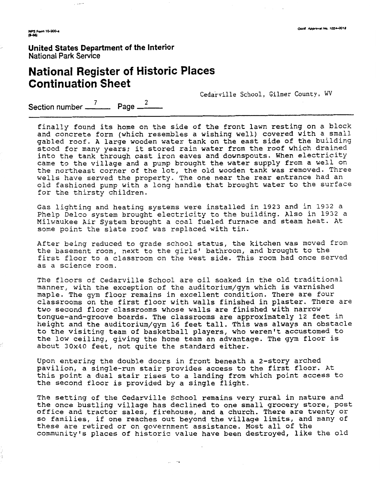NPS Form 10-900-4<br>(8-86)

**United States Department of the Interior**  National Park Service

فتعدلها

# **National Register of Historic Places Continuation Sheet**

Cedarville School, Gilmer County, WV

Section number  $\frac{7}{2}$  Page  $\frac{2}{2}$ 

finally found its home on the side of the front lawn resting on a block and concrete form (which resembles a wishing well) covered with a small gabled roof. A large wooden water tank on the east side of the building stood for many years; it stored rain water from the roof which drained into the tank through cast iron eaves and downspouts. When electricity came to the village and a pump brought the water supply from a well on the northeast corner of the lot, the old wooden tank was removed. Three wells have served the property. The one near the rear entrance had an old fashioned pump with a long handle that brought water to the surface for the thirsty children.

Gas lighting and heating systems were installed in **1923** and in **1932** a Phelp Delco system brought electricity to the building. Also in **1932** a Milwaukee Air System brought a coal fueled furnace and steam heat. At some point the slate roof was replaced with tin.

After being reduced to grade school status, the kitchen was moved from the basement room, next to the girls' bathroom, and brought to the first floor to a classroom on the west side. This room had once served as a science room.

The floors of Cedarville School are oil soaked in the old traditional manner, with the exception of the auditorium/gym which is varnished maple. The gym floor remains in excellent condition. There are four classrooms on the first floor with walls finished in plaster. There are two second floor classrooms whose walls are finished with narrow tongue-and-groove boards. The classrooms are approximately **12** feet in height and the auditorium/gym **16** feet tall. This was always an obstacle to the visiting team of basketball players, who weren't accustomed to the low ceiling, giving the home team an advantage. The gym floor is about 30x40 feet, not quite the standard either.

Upon entering the double doors in front beneath a 2-story arched pavilion, a single-run stair provides access to the first floor. At this point a dual stair rises to a landing from which point access to the second floor is provided by a single flight.

The setting of the Cedarville School remains very rural in nature and the once bustling village has declined to one small grocery store, post office and tractor sales, firehouse, and a church. There are twenty or so families, if one reaches out beyond the village limits, and many of these are retired or on government assistance. Most all of the communityls places of historic value have been destroyed, like the old

 $\mathcal{L}^{\text{c}}$  and  $\mathcal{L}^{\text{c}}$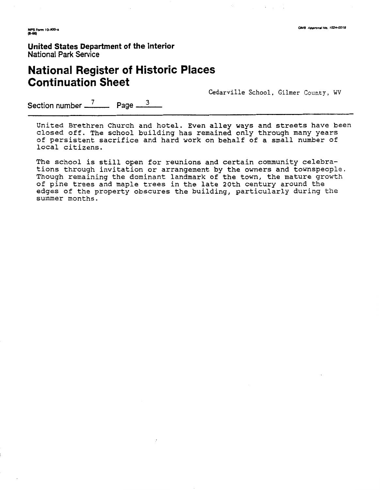.<br>NPS Form 10-900-a<br>(8-66)

**United States Department of the Interior National Park Service** 

# **National Register of Historic Places Continuation Sheet**

**Cedarville School, Gilmer** County, **WV** 

Section number <sup>7</sup> Page <sup>3</sup>

United Brethren Church and hotel. Even alley ways and streets have been closed off. The school building has remained only through many years of persistent sacrifice and hard work on behalf of a small number of local citizens.

The school is still open for reunions and certain community celebrations through invitation or arrangement by the owners and townspeople. Though remaining the dominant landmark of the town, the mature growth of pine trees and maple trees in the late 20th century around the edges of the property obscures the building, particularly during the summer months.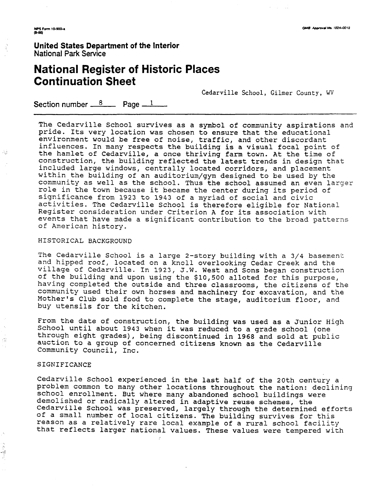**N?s Fam 1o.mo-a Rss)** 

Ŕ

-53

5Ř

**United States Department of the Interior**  National Park Service

# **National Register of Historic Places Continuation Sheet**

Cedarville School, Gilmer County, WV

Section number  $8 \times 1$ 

The Cedarville School survives as a symbol of community aspirations and pride. Its very location was chosen to ensure that the educational environment would be free of noise, traffic, and other discordant influences. In many respects the building is a visual focal point of the hamlet of Cedarville, a once thriving farm town. At the time of construction, the building reflected the latest trends in design that included large windows, centrally located corridors, and placement within the building of an auditorium/gym designed to be used by the community as well as the school. Thus the school assumed an even larger role in the town because it became the center during its period of significance from **1923** to **1943** of a myriad of social and civic activities. The Cedarville School is therefore eligible for National Register consideration under Criterion A for its association with events that have made a significant contribution to the broad patterns of American history.

### HISTORICAL BACKGROUND

The Cedarville School is a large 2-story building with a 3/4 basement and hipped roof, located on a knoll overlooking Cedar Creek and the village of Cedarville. In **1923,** J.W. West and Sons began construction of the building and upon using the \$10,500 alloted for this purpose, having completed the outside and three classrooms, the citizens of the community used their own horses and machinery for excavation, and the Mother's Club sold food to complete the stage, auditorium floor, and buy utensils for the kitchen.

From the date of construction, the building was used as a Junior High School until about 1943 when it was reduced to a grade school (one through eight grades), being discontinued in 1968 and so auction to a group of concerned citizens known as the Community Council, Inc. sold at public Cedarville

#### SIGNIFICANCE

edarville School experienced in the last half of the 20th century a problem common to many other locations throuqhout the nation: declining school enrollment. But where many abandoned school buildings were demolished or radically altered in adaptive reuse schemes, the Cedarville School was preserved, largely through the determined efforts of a small number of local citizens. The building survives for this reason as a relatively rare local example of a rural school facility that reflects larger national values. These values were tempered with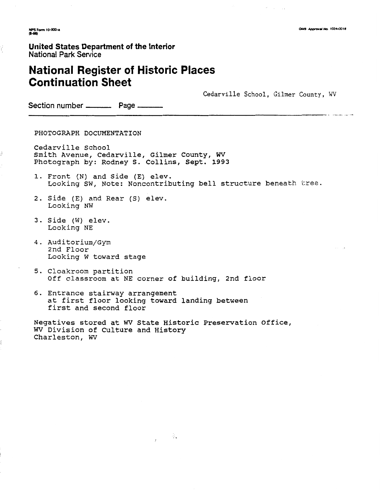OMB Approval No. 1024-0018

.<br>Personal and a construction of the construction

**NPS Form 10-900-a**<br>#-860

### **United States Department** of **the** Interior National Park Service

# **National Register of Historic Places Continuation Sheet**

Cedarville School, Gilmer County, WV

Section number \_\_\_\_\_\_\_\_\_\_ Page \_\_\_

PHOTOGRAPH DOCUMENTATION

Cedarville School Smith Avenue, Cedarville, Gilmer County, **WV**  Photograph by: Rodney S. Collins, Sept. 1993

- 1. Front (N) and Side (E) elev. Looking SW, Note: Noncontributing bell structure beneath tree.
- 2. Side (E) and Rear (S) elev. Looking NW
- 3. Side (W) elev. Looking NE
- 4. Auditorium/Gym 2nd Floor Looking W toward stage
- 5. Cloakroom partition Off classroom at NE corner of building, 2nd floor
- 6. Entrance stairway arrangement at first floor looking toward landing between first and second floor

Negatives stored at WV State Historic Preservation Office, W Division of Culture and History Charleston, **WV** 

- 8.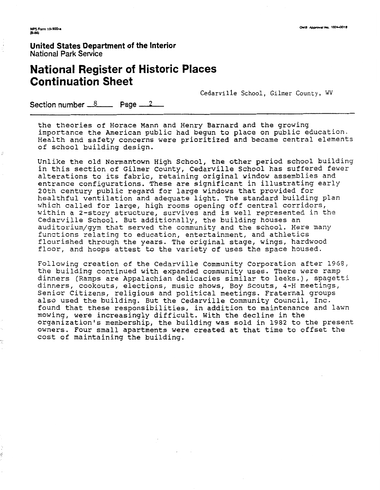**United States Department of the Interior**  National **Park** Service

# **National Register of Historic Places<br>
Continuation Sheet**<br>
Section number <u>8</u> Page 2 **Continuation Sheet**

Cedarville School, Gilmer County, WV

the theories of Horace Mann and Henry Barnard and the growing importance the American public had begun to place on public education. Health and safety concerns were prioritized and became central elements of school building design.

Unlike the old Normantown High School, the other period school building in this section of Gilmer County, Cedarville School has suffered fewer alterations to its fabric, retaining original window assemblies and entrance configurations. These are significant in illustrating early 20th century public regard for large windows that provided for healthful ventilation and adequate light. The standard building plan which called for large, high rooms opening off central corridors, within a 2-story structure, survives and is well represented in the Cedarville School. But additionally, the building houses an auditorium/gym that served the community and the school. Here many functions relating to education, entertainment, and athletics flourished through the years. The original stage, wings, hardwood floor, and hoops attest to the variety of uses the space housed.

Following creation of the Cedarville community corporation after 1968, the building continued with expanded community uses. There were ramp dinners (Ramps are Appalachian delicacies similar to leeks.), spagetti dinners, cookouts, elections, music shows, Boy Scouts, 4-H meetings, Senior Citizens, religious and political meetings. Fraternal groups also used the building. But the Cedarville Community Council, Inc. found that these responsibilities, in addition to maintenance and lawn mowing, were increasingly difficult. With the decline in the organization's membership, the building was sold in 1982 to the present owners. Four small apartments were created at that time to offset the cost of maintaining the building.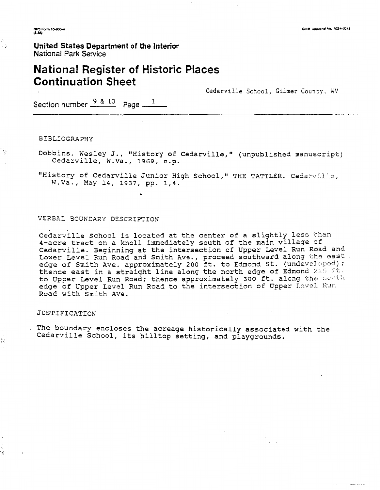NPS Form 10-900-4<br>(8-86)

÷

÷,

÷.

ý

### **United States Department of the Interior National Park Service**

## **National Register of Historic Places Continuation Sheet**

Cedarville School, **Gilmer** County, WV

Section number  $\frac{9 & 8 & 10}{2}$  Page  $\frac{1}{2}$ 

BIBLIOGRAPHY

Dobbins, Wesley J., "History of Cedarville," (unpublished manuscript) Cedarville, W.Va., 1969, n.p.

"History of Cedarville Junior High School," THE TATTLER. Cedarville, W.Va., May 14, 1937, pp. 1,4.

### VERBAL BOUNDARY DESCRIPTION

Cedarville School is located at the center of a slightly less than 4-acre tract on a knoll immediately south of the main village of Cedarville. Beginning at the intersection of Upper Level Run Road and Lower Level Run Road and Smith Ave., proceed southward along the east<br>edge of Smith Ave. approximately 200 ft. to Edmond St. (undeveloped); thence east in a straight line along the north edge of Edmond 225 ft. to Upper Level Run Road; thence approximately 300 ft. along the south edge of Upper Level Run Road to the intersection of Upper Level Run Road with Smith Ave.

### JUSTIFICATION

The boundary encloses the acreage historically associated with the Cedarville School, its hilltop setting, and playgrounds.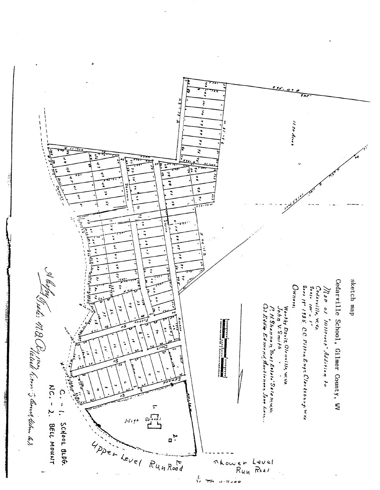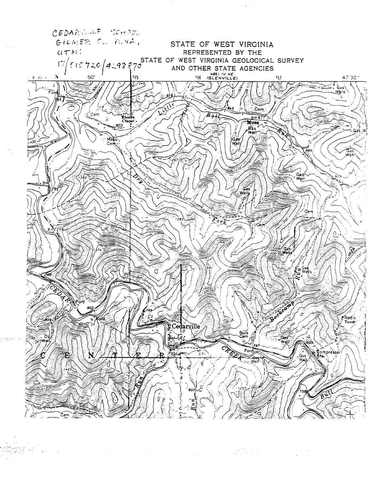

 $\label{eq:2.1} \begin{split} \mathcal{L}_{\text{max}}(\mathbf{X},\mathbf{X},\mathbf{X}) = \mathcal{L}_{\text{max}}(\mathbf{X},\mathbf{X}) \\ \mathcal{L}_{\text{max}}(\mathbf{X},\mathbf{X},\mathbf{X}) = \mathcal{L}_{\text{max}}(\mathbf{X},\mathbf{X}) = \mathcal{L}_{\text{max}}(\mathbf{X},\mathbf{X}) \\ \mathcal{L}_{\text{max}}(\mathbf{X},\mathbf{X}) = \mathcal{L}_{\text{max}}(\mathbf{X},\mathbf{X}) \\ \mathcal{L}_{\text{max}}(\mathbf{X},\mathbf{X}) = \math$  $\Delta \sim 100$